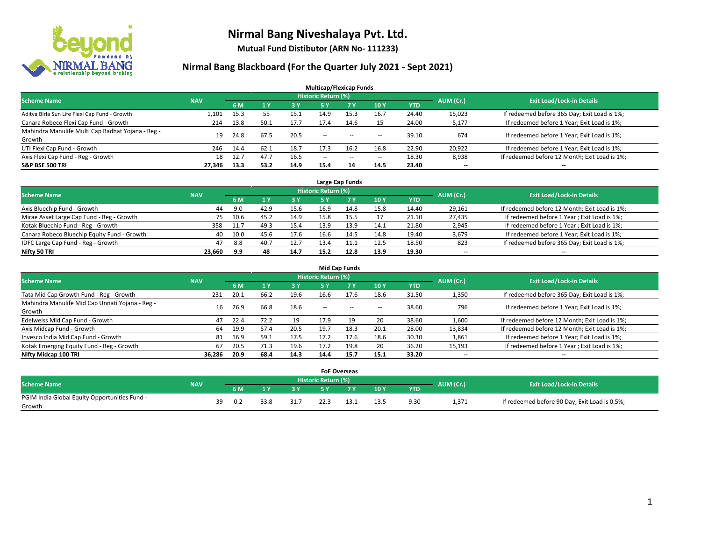

**Mutual Fund Distibutor (ARN No- 111233)**

| <b>Multicap/Flexicap Funds</b>                    |            |      |                |      |                            |       |                          |            |                          |                                               |  |  |  |  |
|---------------------------------------------------|------------|------|----------------|------|----------------------------|-------|--------------------------|------------|--------------------------|-----------------------------------------------|--|--|--|--|
| <b>Scheme Name</b>                                | <b>NAV</b> |      |                |      | <b>Historic Return (%)</b> |       |                          |            | AUM (Cr.)                | <b>Exit Load/Lock-in Details</b>              |  |  |  |  |
|                                                   |            | 6 M  | 1 <sub>Y</sub> | 3 Y  | <b>5Y</b>                  | 7 Y   | 10Y                      | <b>YTD</b> |                          |                                               |  |  |  |  |
| Aditya Birla Sun Life Flexi Cap Fund - Growth     | 1,101      | 15.3 | 55             | 15.1 | 14.9                       | 15.3  | 16.7                     | 24.40      | 15,023                   | If redeemed before 365 Day; Exit Load is 1%;  |  |  |  |  |
| Canara Robeco Flexi Cap Fund - Growth             | 214        | 13.8 | 50.1           | 17.7 | 17.4                       | 14.6  | 15                       | 24.00      | 5,177                    | If redeemed before 1 Year; Exit Load is 1%;   |  |  |  |  |
| Mahindra Manulife Multi Cap Badhat Yojana - Reg - | 19         | 24.8 | 67.5           | 20.5 | $\sim$ $\sim$              | $- -$ |                          | 39.10      | 674                      | If redeemed before 1 Year; Exit Load is 1%;   |  |  |  |  |
| Growth                                            |            |      |                |      |                            |       | $\overline{\phantom{a}}$ |            |                          |                                               |  |  |  |  |
| UTI Flexi Cap Fund - Growth                       | 246        | 14.4 | 62.1           | 18.7 | 17.3                       | 16.2  | 16.8                     | 22.90      | 20,922                   | If redeemed before 1 Year; Exit Load is 1%;   |  |  |  |  |
| Axis Flexi Cap Fund - Reg - Growth                | 18         | 12.7 | 47.7           | 16.5 | $\overline{\phantom{a}}$   | $-$   | $\overline{\phantom{a}}$ | 18.30      | 8,938                    | If redeemed before 12 Month; Exit Load is 1%; |  |  |  |  |
| <b>S&amp;P BSE 500 TRI</b>                        | 27,346     | 13.3 | 53.2           | 14.9 | 15.4                       | 14    | 14.5                     | 23.40      | $\overline{\phantom{a}}$ | $- -$                                         |  |  |  |  |

|                                             |            |      |      |      |                            | Large Cap Funds |      |            |           |                                               |
|---------------------------------------------|------------|------|------|------|----------------------------|-----------------|------|------------|-----------|-----------------------------------------------|
| <b>Scheme Name</b>                          | <b>NAV</b> |      |      |      | <b>Historic Return (%)</b> |                 |      |            | AUM (Cr.) | <b>Exit Load/Lock-in Details</b>              |
|                                             |            | 6 M  |      | 3 Y  |                            | <b>7 Y</b>      | 10Y  | <b>YTD</b> |           |                                               |
| Axis Bluechip Fund - Growth                 | 44         | 9.0  | 42.9 | 15.6 | 16.9                       | 14.8            | 15.8 | 14.40      | 29,161    | If redeemed before 12 Month; Exit Load is 1%; |
| Mirae Asset Large Cap Fund - Reg - Growth   | 75         | 10.6 | 45.2 | 14.9 | 15.8                       | 15.5            | 17   | 21.10      | 27,435    | If redeemed before 1 Year; Exit Load is 1%;   |
| Kotak Bluechip Fund - Reg - Growth          | 358        | 11.7 | 49.3 | 15.4 | 13.9                       | 13.9            | 14.1 | 21.80      | 2,945     | If redeemed before 1 Year; Exit Load is 1%;   |
| Canara Robeco Bluechip Equity Fund - Growth | 40         | 10.0 | 45.6 | 17.6 | 16.6                       | 14.5            | 14.8 | 19.40      | 3,679     | If redeemed before 1 Year; Exit Load is 1%;   |
| IDFC Large Cap Fund - Reg - Growth          | 47         | 8.8  | 40.7 | 12.7 | 13.4                       | 11.1            | 12.5 | 18.50      | 823       | If redeemed before 365 Day; Exit Load is 1%;  |
| Nifty 50 TRI                                | 23.660     | 9.9  | 48   | 14.7 | 15.2                       | 12.8            | 13.9 | 19.30      | $- -$     | $- -$                                         |

| <b>Mid Cap Funds</b>                            |            |           |      |      |                     |           |                          |            |           |                                               |  |  |  |  |
|-------------------------------------------------|------------|-----------|------|------|---------------------|-----------|--------------------------|------------|-----------|-----------------------------------------------|--|--|--|--|
| <b>Scheme Name</b>                              | <b>NAV</b> |           |      |      | Historic Return (%) |           |                          |            | AUM (Cr.) | <b>Exit Load/Lock-in Details</b>              |  |  |  |  |
|                                                 |            | <b>6M</b> |      | 3 Y  | <b>5Y</b>           | <b>7Y</b> | 10Y                      | <b>YTD</b> |           |                                               |  |  |  |  |
| Tata Mid Cap Growth Fund - Reg - Growth         | 231        | 20.1      | 66.2 | 19.6 | 16.6                | 17.6      | 18.6                     | 31.50      | 1,350     | If redeemed before 365 Day; Exit Load is 1%;  |  |  |  |  |
| Mahindra Manulife Mid Cap Unnati Yojana - Reg - | 16         | 26.9      | 66.8 | 18.6 | $-$                 | $-$       | $\overline{\phantom{a}}$ | 38.60      | 796       | If redeemed before 1 Year; Exit Load is 1%;   |  |  |  |  |
| Growth                                          |            |           |      |      |                     |           |                          |            |           |                                               |  |  |  |  |
| Edelweiss Mid Cap Fund - Growth                 | 47         | 22.4      | 72.2 | 19   | 17.9                | 19        | 20                       | 38.60      | 1,600     | If redeemed before 12 Month; Exit Load is 1%; |  |  |  |  |
| Axis Midcap Fund - Growth                       | 64         | 19.9      | 57.4 | 20.5 | 19.7                | 18.3      | 20.1                     | 28.00      | 13,834    | If redeemed before 12 Month; Exit Load is 1%; |  |  |  |  |
| Invesco India Mid Cap Fund - Growth             | 81         | 16.9      | 59.1 | 17.5 | 17.2                | 17.6      | 18.6                     | 30.30      | 1,861     | If redeemed before 1 Year; Exit Load is 1%;   |  |  |  |  |
| Kotak Emerging Equity Fund - Reg - Growth       | 67         | 20.5      | 71.3 | 19.6 | 17.2                | 19.8      | 20                       | 36.20      | 15,193    | If redeemed before 1 Year; Exit Load is 1%;   |  |  |  |  |
| Nifty Midcap 100 TRI                            | 36.286     | 20.9      | 68.4 | 14.3 | 14.4                | 15.7      | 15.1                     | 33.20      | $- -$     | $\overline{\phantom{a}}$                      |  |  |  |  |

|                                               |            |    |     |      |      |                     | <b>FoF Overseas</b> |      |            |           |                                               |
|-----------------------------------------------|------------|----|-----|------|------|---------------------|---------------------|------|------------|-----------|-----------------------------------------------|
| Scheme Name                                   | <b>NAV</b> |    |     |      |      | Historic Return (%) |                     |      |            |           | <b>Exit Load/Lock-in Details</b>              |
|                                               |            |    | 6 M | ıν   | 3V   |                     | 7 V                 | 10Y  | <b>YTD</b> | AUM (Cr.) |                                               |
| PGIM India Global Equity Opportunities Fund - |            | 39 | 0.2 | 33.8 | 31.7 |                     |                     | 13.5 | 9.30       | 1,371     | If redeemed before 90 Day; Exit Load is 0.5%; |
| Growth                                        |            |    |     |      |      |                     |                     |      |            |           |                                               |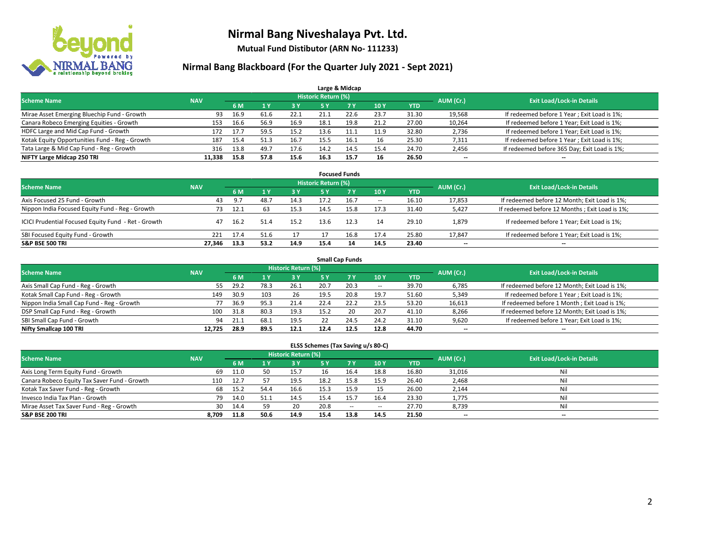

**Mutual Fund Distibutor (ARN No- 111233)**

### **Nirmal Bang Blackboard (For the Quarter July 2021 - Sept 2021)**

|                                                |            |      |      |            |                            | Large & Midcap |      |            |           |                                              |
|------------------------------------------------|------------|------|------|------------|----------------------------|----------------|------|------------|-----------|----------------------------------------------|
| <b>Scheme Name</b>                             | <b>NAV</b> |      |      |            | <b>Historic Return (%)</b> |                |      |            | AUM (Cr.) | <b>Exit Load/Lock-in Details</b>             |
|                                                |            | 6 M  |      | <b>3 Y</b> | <b>5 Y</b>                 | <b>7 Y</b>     | 10Y  | <b>YTD</b> |           |                                              |
| Mirae Asset Emerging Bluechip Fund - Growth    | 93         | 16.9 | 61.6 | 22.1       | 21.1                       | 22.6           | 23.7 | 31.30      | 19,568    | If redeemed before 1 Year; Exit Load is 1%;  |
| Canara Robeco Emerging Equities - Growth       | 153        | 16.6 | 56.9 | 16.9       | 18.1                       | 19.8           | 21.2 | 27.00      | 10,264    | If redeemed before 1 Year; Exit Load is 1%;  |
| HDFC Large and Mid Cap Fund - Growth           | 172        | 17.7 | 59.5 | 15.2       | 13.6                       |                | 11.9 | 32.80      | 2,736     | If redeemed before 1 Year; Exit Load is 1%;  |
| Kotak Equity Opportunities Fund - Reg - Growth | 187        | 15.4 | 51.3 | 16.7       | 15.5                       | 16.1           | 16   | 25.30      | 7,311     | If redeemed before 1 Year; Exit Load is 1%;  |
| Tata Large & Mid Cap Fund - Reg - Growth       | 316        | 13.8 | 49.7 | 17.6       | 14.2                       | 14.5           | 15.4 | 24.70      | 2,456     | If redeemed before 365 Day; Exit Load is 1%; |
| NIFTY Large Midcap 250 TRI                     | 11.338     | 15.8 | 57.8 | 15.6       | 16.3                       | 15.7           | 16   | 26.50      | $- -$     | $\overline{\phantom{a}}$                     |

| <b>Focused Funds</b>                                |            |      |      |      |                     |           |                          |       |                          |                                                 |  |  |  |  |
|-----------------------------------------------------|------------|------|------|------|---------------------|-----------|--------------------------|-------|--------------------------|-------------------------------------------------|--|--|--|--|
| <b>Scheme Name</b>                                  | <b>NAV</b> |      |      |      | Historic Return (%) |           |                          |       | AUM (Cr.)                | <b>Exit Load/Lock-in Details</b>                |  |  |  |  |
|                                                     |            | 6 M  |      | 73 Y | 5 Y                 | <b>7Y</b> | 10Y                      | YTD   |                          |                                                 |  |  |  |  |
| Axis Focused 25 Fund - Growth                       | 43         | 9.7  |      | 14.3 |                     | 16.7      | $\overline{\phantom{a}}$ | 16.10 | 17,853                   | If redeemed before 12 Month; Exit Load is 1%;   |  |  |  |  |
| Nippon India Focused Equity Fund - Reg - Growth     | 73         | 12.1 | 63   | 15.3 | 14.5                | 15.8      | 17.3                     | 31.40 | 5,427                    | If redeemed before 12 Months ; Exit Load is 1%; |  |  |  |  |
| ICICI Prudential Focused Equity Fund - Ret - Growth | 47         | 16.2 | 51.4 | 15.2 | 13.6                | 12.3      | 14                       | 29.10 | 1,879                    | If redeemed before 1 Year; Exit Load is 1%;     |  |  |  |  |
| SBI Focused Equity Fund - Growth                    | 221        | 17.4 | 51.6 | 17   |                     | 16.8      | 17.4                     | 25.80 | 17,847                   | If redeemed before 1 Year; Exit Load is 1%;     |  |  |  |  |
| <b>S&amp;P BSE 500 TRI</b>                          | 27.346     | 13.3 | 53.2 | 14.9 | 15.4                | 14        | 14.5                     | 23.40 | $\overline{\phantom{a}}$ | --                                              |  |  |  |  |

| <b>Small Cap Funds</b>                     |            |      |      |                     |      |           |                          |            |                          |                                               |  |  |  |  |
|--------------------------------------------|------------|------|------|---------------------|------|-----------|--------------------------|------------|--------------------------|-----------------------------------------------|--|--|--|--|
| <b>Scheme Name</b>                         | <b>NAV</b> |      |      | Historic Return (%) |      |           |                          |            | AUM (Cr.)                | <b>Exit Load/Lock-in Details</b>              |  |  |  |  |
|                                            |            | 6 M  |      | 73 Y.               | 5 Y  | <b>7Y</b> | <b>10Y</b>               | <b>YTD</b> |                          |                                               |  |  |  |  |
| Axis Small Cap Fund - Reg - Growth         | 55         | 29.2 | 78.3 | 26.1                | 20.7 | 20.3      | $\overline{\phantom{a}}$ | 39.70      | 6,785                    | If redeemed before 12 Month; Exit Load is 1%; |  |  |  |  |
| Kotak Small Cap Fund - Reg - Growth        | 149        | 30.9 | 103  | 26                  | 19.5 | 20.8      | 19.7                     | 51.60      | 5,349                    | If redeemed before 1 Year; Exit Load is 1%;   |  |  |  |  |
| Nippon India Small Cap Fund - Reg - Growth |            | 36.9 | 95.3 | 21.4                | 22.4 | 22.2      | 23.5                     | 53.20      | 16,613                   | If redeemed before 1 Month; Exit Load is 1%;  |  |  |  |  |
| DSP Small Cap Fund - Reg - Growth          | 100        | 31.8 | 80.3 | 19.3                | 15.2 | 20        | 20.7                     | 41.10      | 8,266                    | If redeemed before 12 Month; Exit Load is 1%; |  |  |  |  |
| SBI Small Cap Fund - Growth                | 94         | 21.1 | 68.1 | 19.5                |      | 24.5      | 24.2                     | 31.10      | 9,620                    | If redeemed before 1 Year; Exit Load is 1%;   |  |  |  |  |
| Nifty Smallcap 100 TRI                     | 12.725     | 28.9 | 89.5 | 12.1                | 12.4 | 12.5      | 12.8                     | 44.70      | $\overline{\phantom{m}}$ | $- -$                                         |  |  |  |  |

#### **ELSS Schemes (Tax Saving u/s 80-C)**

| <b>Scheme Name</b>                           | <b>NAV</b> |      |      | <b>Historic Return (%)</b> |      |      |            |            | AUM (Cr.) | <b>Exit Load/Lock-in Details</b> |
|----------------------------------------------|------------|------|------|----------------------------|------|------|------------|------------|-----------|----------------------------------|
|                                              |            | 6 M  |      | <b>3Y</b>                  | 5 Y  | 7 Y  | <b>10Y</b> | <b>YTD</b> |           |                                  |
| Axis Long Term Equity Fund - Growth          | 69         | 11.0 |      | 15.7                       | 16   | 16.4 | 18.8       | 16.80      | 31,016    | Nil                              |
| Canara Robeco Equity Tax Saver Fund - Growth | 110        | 12.7 |      | 19.5                       | 18.2 | 15.8 | 15.9       | 26.40      | 2,468     | Nil                              |
| Kotak Tax Saver Fund - Reg - Growth          | 68         | 15.2 | 54.4 | 16.6                       | 15.3 | 15.9 |            | 26.00      | 2,144     | Nil                              |
| Invesco India Tax Plan - Growth              | 79         | 14.0 | 51.1 | 14.5                       | 15.4 | 15.7 | 16.4       | 23.30      | 1,775     | Nil                              |
| Mirae Asset Tax Saver Fund - Reg - Growth    | 30         | 14.4 |      | 20                         | 20.8 | $-$  | $\!-$      | 27.70      | 8,739     | Nil                              |
| <b>S&amp;P BSE 200 TRI</b>                   | 8,709      | 11.8 | 50.6 | 14.9                       | 15.4 | 13.8 | 14.5       | 21.50      | --        | $\overline{\phantom{a}}$         |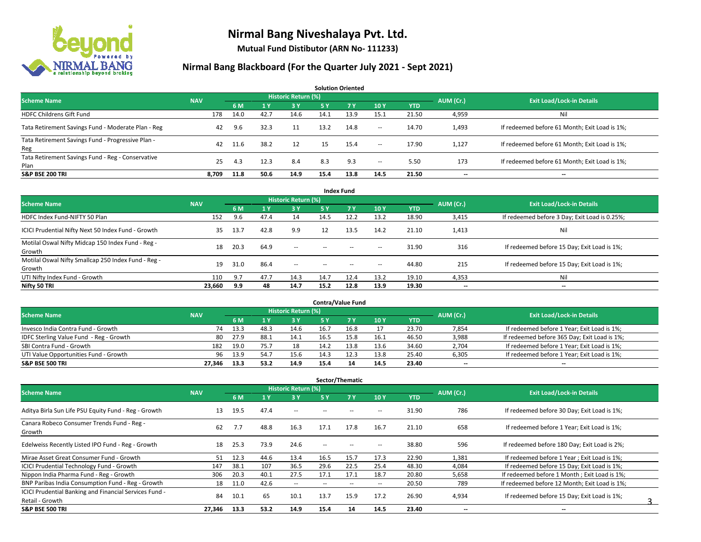

**Mutual Fund Distibutor (ARN No- 111233)**

| <b>Solution Oriented</b>                                  |            |      |      |                     |      |           |        |            |                          |                                               |  |  |  |  |
|-----------------------------------------------------------|------------|------|------|---------------------|------|-----------|--------|------------|--------------------------|-----------------------------------------------|--|--|--|--|
| <b>Scheme Name</b>                                        | <b>NAV</b> |      |      | Historic Return (%) |      |           |        |            | AUM (Cr.)                | <b>Exit Load/Lock-in Details</b>              |  |  |  |  |
|                                                           |            | 6 M  |      | $-3V$               | 5 Y  | <b>7Y</b> | 10Y    | <b>YTD</b> |                          |                                               |  |  |  |  |
| <b>HDFC Childrens Gift Fund</b>                           | 178        | 14.0 | 42.7 | 14.6                | 14.1 | 13.9      | 15.1   | 21.50      | 4,959                    | Nil                                           |  |  |  |  |
| Tata Retirement Savings Fund - Moderate Plan - Reg        | 42         | 9.6  | 32.3 | 11                  | 13.2 | 14.8      | $\sim$ | 14.70      | 1,493                    | If redeemed before 61 Month; Exit Load is 1%; |  |  |  |  |
| Tata Retirement Savings Fund - Progressive Plan -<br>Reg  | 42         | 11.6 | 38.2 | 12                  | 15   | 15.4      | $\sim$ | 17.90      | 1,127                    | If redeemed before 61 Month; Exit Load is 1%; |  |  |  |  |
| Tata Retirement Savings Fund - Reg - Conservative<br>Plan | 25         | 4.3  | 12.3 | 8.4                 | 8.3  | 9.3       | $\sim$ | 5.50       | 173                      | If redeemed before 61 Month; Exit Load is 1%; |  |  |  |  |
| <b>S&amp;P BSE 200 TRI</b>                                | 8.709      | 11.8 | 50.6 | 14.9                | 15.4 | 13.8      | 14.5   | 21.50      | $\overline{\phantom{a}}$ | $\overline{\phantom{a}}$                      |  |  |  |  |

| <b>Index Fund</b>                                             |            |      |      |                            |        |       |                          |            |                          |                                               |  |  |  |  |
|---------------------------------------------------------------|------------|------|------|----------------------------|--------|-------|--------------------------|------------|--------------------------|-----------------------------------------------|--|--|--|--|
| <b>Scheme Name</b>                                            | <b>NAV</b> |      |      | <b>Historic Return (%)</b> |        |       |                          |            | AUM (Cr.)                | <b>Exit Load/Lock-in Details</b>              |  |  |  |  |
|                                                               |            | 6 M  | 71 Y | 3 Y                        | 5 Y    | 7V    | 10Y                      | <b>YTD</b> |                          |                                               |  |  |  |  |
| HDFC Index Fund-NIFTY 50 Plan                                 | 152        | 9.6  | 47.4 | 14                         | 14.5   | 12.2  | 13.2                     | 18.90      | 3,415                    | If redeemed before 3 Day; Exit Load is 0.25%; |  |  |  |  |
| ICICI Prudential Nifty Next 50 Index Fund - Growth            | 35         | 13.7 | 42.8 | 9.9                        | 12     | 13.5  | 14.2                     | 21.10      | 1,413                    | Nil                                           |  |  |  |  |
| Motilal Oswal Nifty Midcap 150 Index Fund - Reg -<br>Growth   | 18         | 20.3 | 64.9 | $\sim$                     | $-$    | $- -$ | $\overline{\phantom{a}}$ | 31.90      | 316                      | If redeemed before 15 Day; Exit Load is 1%;   |  |  |  |  |
| Motilal Oswal Nifty Smallcap 250 Index Fund - Reg -<br>Growth | 19         | 31.0 | 86.4 | $\sim$ $-$                 | $\sim$ | $- -$ | $\hspace{0.05cm} \cdots$ | 44.80      | 215                      | If redeemed before 15 Day; Exit Load is 1%;   |  |  |  |  |
| UTI Nifty Index Fund - Growth                                 | 110        | 9.7  | 47.7 | 14.3                       | 14.7   | 12.4  | 13.2                     | 19.10      | 4,353                    | Nil                                           |  |  |  |  |
| Nifty 50 TRI                                                  | 23,660     | 9.9  | 48   | 14.7                       | 15.2   | 12.8  | 13.9                     | 19.30      | $\overline{\phantom{a}}$ | $\overline{\phantom{m}}$                      |  |  |  |  |

| <b>Contra/Value Fund</b>                |            |      |      |                     |      |      |      |            |           |                                              |  |  |  |  |
|-----------------------------------------|------------|------|------|---------------------|------|------|------|------------|-----------|----------------------------------------------|--|--|--|--|
| <b>Scheme Name</b>                      | <b>NAV</b> |      |      | Historic Return (%) |      |      |      |            | AUM (Cr.) | <b>Exit Load/Lock-in Details</b>             |  |  |  |  |
|                                         |            | 6 M  |      | 3 Y                 |      |      | 10 Y | <b>YTD</b> |           |                                              |  |  |  |  |
| Invesco India Contra Fund - Growth      | 74         | 13.3 | 48.  | 14.6                | 16.7 | 16.8 |      | 23.70      | 7,854     | If redeemed before 1 Year; Exit Load is 1%;  |  |  |  |  |
| IDFC Sterling Value Fund - Reg - Growth | 80         | 27.9 | 88.1 | 14.1                | 16.5 |      | 16.1 | 46.50      | 3,988     | If redeemed before 365 Day; Exit Load is 1%; |  |  |  |  |
| SBI Contra Fund - Growth                | 182        | 19.0 | 75.7 | 18                  | 14.2 | 13.8 | 13.6 | 34.60      | 2,704     | If redeemed before 1 Year; Exit Load is 1%;  |  |  |  |  |
| UTI Value Opportunities Fund - Growth   | 96         | 13.9 | 54.7 | 15.6                | 14.3 | 12.3 | 13.8 | 25.40      | 6,305     | If redeemed before 1 Year; Exit Load is 1%;  |  |  |  |  |
| <b>S&amp;P BSE 500 TRI</b>              | 27.346     | 13.3 | 53.2 | 14.9                | 15.4 | 14   | 14.5 | 23.40      | $- -$     | $-$                                          |  |  |  |  |

| Sector/Thematic                                                           |            |      |      |                            |                          |                          |                          |            |                          |                                               |  |  |  |
|---------------------------------------------------------------------------|------------|------|------|----------------------------|--------------------------|--------------------------|--------------------------|------------|--------------------------|-----------------------------------------------|--|--|--|
| <b>Scheme Name</b>                                                        | <b>NAV</b> |      |      | <b>Historic Return (%)</b> |                          |                          |                          |            | AUM (Cr.)                | <b>Exit Load/Lock-in Details</b>              |  |  |  |
|                                                                           |            | 6 M  | 1 Y  | 3 Y                        | 5 Y                      | <b>7Y</b>                | 10Y                      | <b>YTD</b> |                          |                                               |  |  |  |
| Aditya Birla Sun Life PSU Equity Fund - Reg - Growth                      | 13         | 19.5 | 47.4 | $- -$                      |                          |                          | --                       | 31.90      | 786                      | If redeemed before 30 Day; Exit Load is 1%;   |  |  |  |
| Canara Robeco Consumer Trends Fund - Reg -<br>Growth                      | 62         | 7.7  | 48.8 | 16.3                       | 17.1                     | 17.8                     | 16.7                     | 21.10      | 658                      | If redeemed before 1 Year; Exit Load is 1%;   |  |  |  |
| Edelweiss Recently Listed IPO Fund - Reg - Growth                         | 18         | 25.3 | 73.9 | 24.6                       | $\overline{\phantom{a}}$ | --                       | н.                       | 38.80      | 596                      | If redeemed before 180 Day; Exit Load is 2%;  |  |  |  |
| Mirae Asset Great Consumer Fund - Growth                                  | 51         | 12.3 | 44.6 | 13.4                       | 16.5                     | 15.7                     | 17.3                     | 22.90      | 1,381                    | If redeemed before 1 Year; Exit Load is 1%;   |  |  |  |
| <b>ICICI Prudential Technology Fund - Growth</b>                          | 147        | 38.1 | 107  | 36.5                       | 29.6                     | 22.5                     | 25.4                     | 48.30      | 4,084                    | If redeemed before 15 Day; Exit Load is 1%;   |  |  |  |
| Nippon India Pharma Fund - Reg - Growth                                   | 306        | 20.3 | 40.1 | 27.5                       | 17.1                     | 17.1                     | 18.7                     | 20.80      | 5,658                    | If redeemed before 1 Month; Exit Load is 1%;  |  |  |  |
| BNP Paribas India Consumption Fund - Reg - Growth                         | 18         | 11.0 | 42.6 | $\sim$                     | --                       | $\overline{\phantom{a}}$ | $\overline{\phantom{a}}$ | 20.50      | 789                      | If redeemed before 12 Month: Exit Load is 1%: |  |  |  |
| ICICI Prudential Banking and Financial Services Fund -<br>Retail - Growth | 84         | 10.1 | 65   | 10.1                       | 13.7                     | 15.9                     | 17.2                     | 26.90      | 4,934                    | If redeemed before 15 Day; Exit Load is 1%;   |  |  |  |
| <b>S&amp;P BSE 500 TRI</b>                                                | 27,346     | 13.3 | 53.2 | 14.9                       | 15.4                     | 14                       | 14.5                     | 23.40      | $\overline{\phantom{a}}$ | $\overline{\phantom{a}}$                      |  |  |  |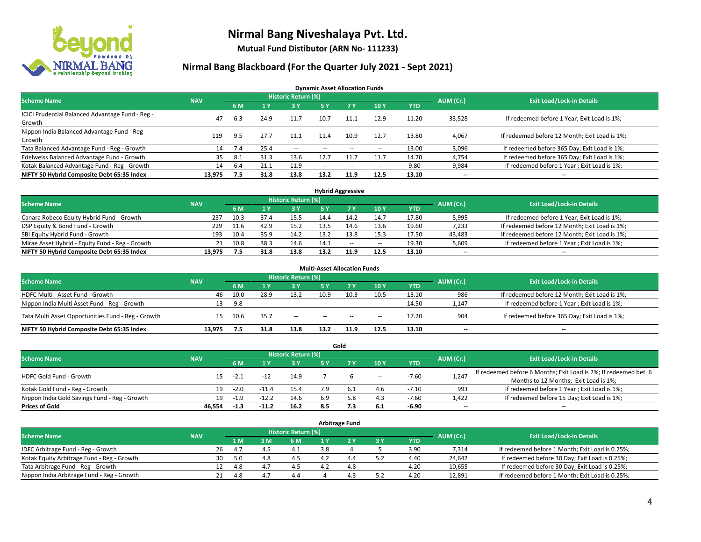

**Mutual Fund Distibutor (ARN No- 111233)**

### **Nirmal Bang Blackboard (For the Quarter July 2021 - Sept 2021)**

**Dynamic Asset Allocation Funds**

| <b>Scheme Name</b>                                         | <b>NAV</b> |      |      | Historic Return (%) |                          |       |       |            | AUM (Cr.) | <b>Exit Load/Lock-in Details</b>              |
|------------------------------------------------------------|------------|------|------|---------------------|--------------------------|-------|-------|------------|-----------|-----------------------------------------------|
|                                                            |            | 6 M  |      | <b>3Y</b>           | 5 Y                      | 7 Y   | 10Y   | <b>YTD</b> |           |                                               |
| ICICI Prudential Balanced Advantage Fund - Reg -<br>Growth | 47         | 6.3  | 24.9 | 11.7                | 10.7                     | 11.1  | 12.9  | 11.20      | 33,528    | If redeemed before 1 Year; Exit Load is 1%;   |
| Nippon India Balanced Advantage Fund - Reg -<br>Growth     | 119        | 9.5  | 27.7 | 11.1                | 11.4                     | 10.9  | 12.7  | 13.80      | 4,067     | If redeemed before 12 Month; Exit Load is 1%; |
| Tata Balanced Advantage Fund - Reg - Growth                | 14         | 7.4  | 25.4 | $\sim$              | $\overline{\phantom{a}}$ | $- -$ | $\!-$ | 13.00      | 3,096     | If redeemed before 365 Day; Exit Load is 1%;  |
| Edelweiss Balanced Advantage Fund - Growth                 | 35         | -8.1 | 31.3 | 13.6                | 12.7                     |       | 11.7  | 14.70      | 4,754     | If redeemed before 365 Day; Exit Load is 1%;  |
| Kotak Balanced Advantage Fund - Reg - Growth               | 14         | 6.4  | 21.1 | 11.9                | $\sim$ $\sim$            | $- -$ | $\!-$ | 9.80       | 9,984     | If redeemed before 1 Year; Exit Load is 1%;   |
| NIFTY 50 Hybrid Composite Debt 65:35 Index                 | 13.975     | 7.5  | 31.8 | 13.8                | 13.2                     | 11.9  | 12.5  | 13.10      | --        | --                                            |

| <b>Hybrid Aggressive</b>                        |            |      |      |                     |      |        |                          |            |           |                                               |  |  |  |
|-------------------------------------------------|------------|------|------|---------------------|------|--------|--------------------------|------------|-----------|-----------------------------------------------|--|--|--|
| <b>Scheme Name</b>                              | <b>NAV</b> |      |      | Historic Return (%) |      |        |                          |            | AUM (Cr.) | <b>Exit Load/Lock-in Details</b>              |  |  |  |
|                                                 |            | 6 M  |      | 3 Y                 |      |        | 10Y                      | <b>YTD</b> |           |                                               |  |  |  |
| Canara Robeco Equity Hybrid Fund - Growth       | 237        | 10.3 | 37.4 | 15.5                | 14.4 |        | 14.7                     | 17.80      | 5,995     | If redeemed before 1 Year; Exit Load is 1%;   |  |  |  |
| DSP Equity & Bond Fund - Growth                 | 229        | 11.6 | 42.9 | 15.2                | 13.5 |        | 13.6                     | 19.60      | 7,233     | If redeemed before 12 Month; Exit Load is 1%; |  |  |  |
| SBI Equity Hybrid Fund - Growth                 | 193        | 10.4 | 35.9 | 14.2                | 13.2 | 13.8   | 15.3                     | 17.50      | 43,483    | If redeemed before 12 Month; Exit Load is 1%; |  |  |  |
| Mirae Asset Hybrid - Equity Fund - Reg - Growth | 21         | 10.8 | 38.3 | 14.6                | 14.1 | $\sim$ | $\overline{\phantom{a}}$ | 19.30      | 5,609     | If redeemed before 1 Year; Exit Load is 1%;   |  |  |  |
| NIFTY 50 Hybrid Composite Debt 65:35 Index      | 13.975     |      | 31.8 | 13.8                | 13.2 | 11.9   | 12.5                     | 13.10      | $- -$     | $\overline{\phantom{a}}$                      |  |  |  |

| <b>Multi-Asset Allocation Funds</b>                |            |      |              |                            |      |        |       |            |                          |                                               |  |  |  |
|----------------------------------------------------|------------|------|--------------|----------------------------|------|--------|-------|------------|--------------------------|-----------------------------------------------|--|--|--|
| <b>Scheme Name</b>                                 | <b>NAV</b> |      |              | <b>Historic Return (%)</b> |      |        |       |            | AUM (Cr.)                | <b>Exit Load/Lock-in Details</b>              |  |  |  |
|                                                    |            | 6 M  |              | <b>3Y</b>                  | 5 Y  | 7V     | 10Y   | <b>YTD</b> |                          |                                               |  |  |  |
| HDFC Multi - Asset Fund - Growth                   | 46         | 10.0 | 28.9         | 13.2                       | 10.9 | 10.3   | 10.5  | 13.10      | 986                      | If redeemed before 12 Month; Exit Load is 1%; |  |  |  |
| Nippon India Multi Asset Fund - Reg - Growth       | 13         | 9.8  | <b>COLUM</b> | $\sim$                     | $-$  | $\sim$ | $\!-$ | 14.50      | 1,147                    | If redeemed before 1 Year; Exit Load is 1%;   |  |  |  |
| Tata Multi Asset Opportunities Fund - Reg - Growth | 15         | 10.6 | 35.7         | $\sim$                     | $-$  | $\sim$ | --    | 17.20      | 904                      | If redeemed before 365 Day; Exit Load is 1%;  |  |  |  |
| NIFTY 50 Hybrid Composite Debt 65:35 Index         | 13.975     | 7.5  | 31.8         | 13.8                       | 13.2 | 11.9   | 12.5  | 13.10      | $\overline{\phantom{a}}$ | --                                            |  |  |  |

| Gold                                          |            |        |         |                            |     |     |                          |            |                          |                                                                  |  |  |  |  |
|-----------------------------------------------|------------|--------|---------|----------------------------|-----|-----|--------------------------|------------|--------------------------|------------------------------------------------------------------|--|--|--|--|
| <b>Scheme Name</b>                            | <b>NAV</b> |        |         | <b>Historic Return (%)</b> |     |     |                          |            | AUM (Cr.)                | <b>Exit Load/Lock-in Details</b>                                 |  |  |  |  |
|                                               |            | 6 M    |         | 73 Y.                      | 5 Y |     | 10Y                      | <b>YTD</b> |                          |                                                                  |  |  |  |  |
| HDFC Gold Fund - Growth                       |            |        | $-12$   |                            |     |     |                          | $-7.60$    |                          | If redeemed before 6 Months; Exit Load is 2%; If redeemed bet. 6 |  |  |  |  |
|                                               | 15         | $-2.1$ |         | 14.9                       |     |     | $\overline{\phantom{a}}$ |            | 1,247                    | Months to 12 Months; Exit Load is 1%;                            |  |  |  |  |
| Kotak Gold Fund - Reg - Growth                | 19         | $-2.0$ | -11.5   | 15.4                       |     |     | 4.6                      | $-7.10$    | 993                      | If redeemed before 1 Year; Exit Load is 1%;                      |  |  |  |  |
| Nippon India Gold Savings Fund - Reg - Growth | 19         | $-1.9$ | $-12.2$ | 14.6                       | 6.9 | 5.8 | 4.3                      | $-7.60$    | 1,422                    | If redeemed before 15 Day; Exit Load is 1%;                      |  |  |  |  |
| <b>Prices of Gold</b>                         | 46.554     | $-1.3$ | $-11.2$ | 16.2                       | 8.5 |     | 6.1                      | -6.90      | $\overline{\phantom{a}}$ | --                                                               |  |  |  |  |

| Arbitrage Fund                             |            |                                  |     |                |     |     |     |        |            |        |                                                 |  |  |
|--------------------------------------------|------------|----------------------------------|-----|----------------|-----|-----|-----|--------|------------|--------|-------------------------------------------------|--|--|
| <b>Scheme Name</b>                         | AUM (Cr.)  | <b>Exit Load/Lock-in Details</b> |     |                |     |     |     |        |            |        |                                                 |  |  |
|                                            | <b>NAV</b> |                                  | 1 M | 3 M            | 6 M |     |     | 3 Y    | <b>YTD</b> |        |                                                 |  |  |
| IDFC Arbitrage Fund - Reg - Growth         |            | 26                               | 4.7 | 4 <sup>r</sup> |     | 3.8 |     |        | 3.90       | 7,314  | If redeemed before 1 Month; Exit Load is 0.25%; |  |  |
| Kotak Equity Arbitrage Fund - Reg - Growth |            | 30                               | 5.0 | 4.8            | 4.5 |     | 4.4 |        | 4.40       | 24,642 | If redeemed before 30 Day; Exit Load is 0.25%;  |  |  |
| Tata Arbitrage Fund - Reg - Growth         |            | 12                               | 4.8 | 4.7            | 4.5 |     | 4.8 | $\sim$ | 4.20       | 10,655 | If redeemed before 30 Day; Exit Load is 0.25%;  |  |  |
| Nippon India Arbitrage Fund - Reg - Growth |            | 21                               | 4.8 | $4-$           | 4.4 |     |     |        | 4.20       | 12,891 | If redeemed before 1 Month; Exit Load is 0.25%; |  |  |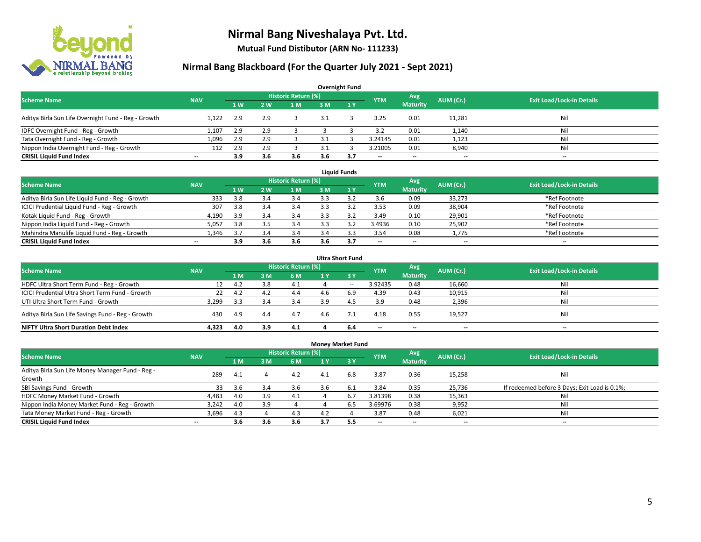

**Mutual Fund Distibutor (ARN No- 111233)**

| <b>Overnight Fund</b>                               |                          |                |     |                            |     |     |                          |                 |           |                                  |  |  |  |  |
|-----------------------------------------------------|--------------------------|----------------|-----|----------------------------|-----|-----|--------------------------|-----------------|-----------|----------------------------------|--|--|--|--|
| <b>Scheme Name</b>                                  | <b>NAV</b>               |                |     | <b>Historic Return (%)</b> |     |     | <b>YTM</b>               | Avg             | AUM (Cr.) | <b>Exit Load/Lock-in Details</b> |  |  |  |  |
|                                                     |                          | 1 <sub>W</sub> | 2 W | 1 <sub>M</sub>             | 3M  | 1Y  |                          | <b>Maturity</b> |           |                                  |  |  |  |  |
| Aditya Birla Sun Life Overnight Fund - Reg - Growth | 1.122                    | 2.9            | 2.9 |                            |     |     | 3.25                     | 0.01            | 11,281    | Nil                              |  |  |  |  |
| IDFC Overnight Fund - Reg - Growth                  | 1,107                    | 2.9            | 2.9 |                            |     |     | 3.2                      | 0.01            | 1,140     | Nil                              |  |  |  |  |
| Tata Overnight Fund - Reg - Growth                  | 1,096                    | 2.9            |     |                            |     |     | 3.24145                  | 0.01            | 1,123     | Nil                              |  |  |  |  |
| Nippon India Overnight Fund - Reg - Growth          | 112                      | 2.9            |     |                            |     |     | 3.21005                  | 0.01            | 8,940     | Nil                              |  |  |  |  |
| <b>CRISIL Liquid Fund Index</b>                     | $\overline{\phantom{a}}$ | 3.9            | 3.6 | 3.6                        | 3.6 | 3.7 | $\overline{\phantom{a}}$ | $- -$           | $- -$     | $\overline{\phantom{a}}$         |  |  |  |  |

| <b>Liquid Funds</b>                              |            |     |     |                     |     |     |                          |                          |           |                                  |  |  |  |
|--------------------------------------------------|------------|-----|-----|---------------------|-----|-----|--------------------------|--------------------------|-----------|----------------------------------|--|--|--|
| <b>Scheme Name</b>                               | <b>NAV</b> |     |     | Historic Return (%) |     |     | <b>YTM</b>               | Avg                      | AUM (Cr.) | <b>Exit Load/Lock-in Details</b> |  |  |  |
|                                                  |            | 1W  | 2 W | 1 M                 | зM  |     |                          | <b>Maturity</b>          |           |                                  |  |  |  |
| Aditya Birla Sun Life Liquid Fund - Reg - Growth | 333        | 3.8 |     | 3.4                 |     |     | 3.6                      | 0.09                     | 33,273    | *Ref Footnote                    |  |  |  |
| ICICI Prudential Liquid Fund - Reg - Growth      | 307        | 3.8 |     | 3.4                 |     |     | 3.53                     | 0.09                     | 38,904    | *Ref Footnote                    |  |  |  |
| Kotak Liquid Fund - Reg - Growth                 | 4,190      | 3.9 |     | 3.4                 |     |     | 3.49                     | 0.10                     | 29,901    | *Ref Footnote                    |  |  |  |
| Nippon India Liquid Fund - Reg - Growth          | 5,057      | 3.8 |     | 3.4                 |     |     | 3.4936                   | 0.10                     | 25,902    | *Ref Footnote                    |  |  |  |
| Mahindra Manulife Liquid Fund - Reg - Growth     | 1.346      | 3.7 |     | 3.4                 | 3.4 |     | 3.54                     | 0.08                     | 1,775     | *Ref Footnote                    |  |  |  |
| <b>CRISIL Liquid Fund Index</b>                  | $- -$      | 3.9 | 3.6 | 3.6                 | 3.6 | 3.7 | $\overline{\phantom{a}}$ | $\overline{\phantom{a}}$ | $- -$     | $- -$                            |  |  |  |

| <b>Ultra Short Fund</b>                           |            |     |     |                            |     |                  |                          |                          |                          |                                  |  |  |  |
|---------------------------------------------------|------------|-----|-----|----------------------------|-----|------------------|--------------------------|--------------------------|--------------------------|----------------------------------|--|--|--|
| <b>Scheme Name</b>                                | <b>NAV</b> |     |     | <b>Historic Return (%)</b> |     |                  | <b>YTM</b>               | Avg                      | AUM (Cr.)                | <b>Exit Load/Lock-in Details</b> |  |  |  |
|                                                   |            | 1 M | : M | 6 M                        | 1 Y | $\overline{3}$ Y |                          | <b>Maturity</b>          |                          |                                  |  |  |  |
| HDFC Ultra Short Term Fund - Reg - Growth         |            | 4.2 |     | -4.1                       |     | $- -$            | 3.92435                  | 0.48                     | 16,660                   | Nil                              |  |  |  |
| ICICI Prudential Ultra Short Term Fund - Growth   | 22         | 4.2 | 4.2 | 4.4                        |     | 6.9              | 4.39                     | 0.43                     | 10,915                   | Nil                              |  |  |  |
| UTI Ultra Short Term Fund - Growth                | 3,299      | 3.3 |     | 3.4                        | 3.9 | 4.5              | 3.9                      | 0.48                     | 2,396                    | Nil                              |  |  |  |
| Aditya Birla Sun Life Savings Fund - Reg - Growth | 430        | 4.9 | 4.4 | 4.7                        | 4.6 |                  | 4.18                     | 0.55                     | 19,527                   | Nil                              |  |  |  |
| <b>NIFTY Ultra Short Duration Debt Index</b>      | 4.323      | 4.0 | 3.9 | 4.1                        |     | 6.4              | $\overline{\phantom{a}}$ | $\overline{\phantom{a}}$ | $\overline{\phantom{a}}$ | $-$                              |  |  |  |

| <b>Money Market Fund</b>                         |                          |     |     |                     |     |              |                          |                          |                          |                                               |  |  |  |  |
|--------------------------------------------------|--------------------------|-----|-----|---------------------|-----|--------------|--------------------------|--------------------------|--------------------------|-----------------------------------------------|--|--|--|--|
| <b>Scheme Name</b>                               | <b>NAV</b>               |     |     | Historic Return (%) |     |              | <b>YTM</b>               | Avg                      | AUM (Cr.)                | <b>Exit Load/Lock-in Details</b>              |  |  |  |  |
|                                                  |                          | 4 M | з м | 6 M                 | 1 Y | $\sqrt{3}$ Y |                          | <b>Maturity</b>          |                          |                                               |  |  |  |  |
| Aditya Birla Sun Life Money Manager Fund - Reg - | 289                      | 4.1 |     | 4.2                 | 4.1 | 6.8          | 3.87                     | 0.36                     | 15,258                   | Nil                                           |  |  |  |  |
| Growth                                           |                          |     |     |                     |     |              |                          |                          |                          |                                               |  |  |  |  |
| SBI Savings Fund - Growth                        | 33                       | 3.6 | 3.4 | 3.6                 | 3.b |              | 3.84                     | 0.35                     | 25,736                   | If redeemed before 3 Days; Exit Load is 0.1%; |  |  |  |  |
| HDFC Money Market Fund - Growth                  | 4,483                    | 4.0 | 3.9 | 4.1                 |     | 6.7          | 3.81398                  | 0.38                     | 15,363                   | Nil                                           |  |  |  |  |
| Nippon India Money Market Fund - Reg - Growth    | 3,242                    | 4.0 | 3.9 |                     |     | 6.5          | 3.69976                  | 0.38                     | 9,952                    | Ni                                            |  |  |  |  |
| Tata Money Market Fund - Reg - Growth            | 3.696                    | 4.3 |     | 4.3                 | 4.2 |              | 3.87                     | 0.48                     | 6,021                    | Ni                                            |  |  |  |  |
| <b>CRISIL Liquid Fund Index</b>                  | $\overline{\phantom{a}}$ | 3.6 | 3.6 | 3.6                 | 3.7 | 5.5          | $\overline{\phantom{a}}$ | $\overline{\phantom{a}}$ | $\overline{\phantom{a}}$ | $- -$                                         |  |  |  |  |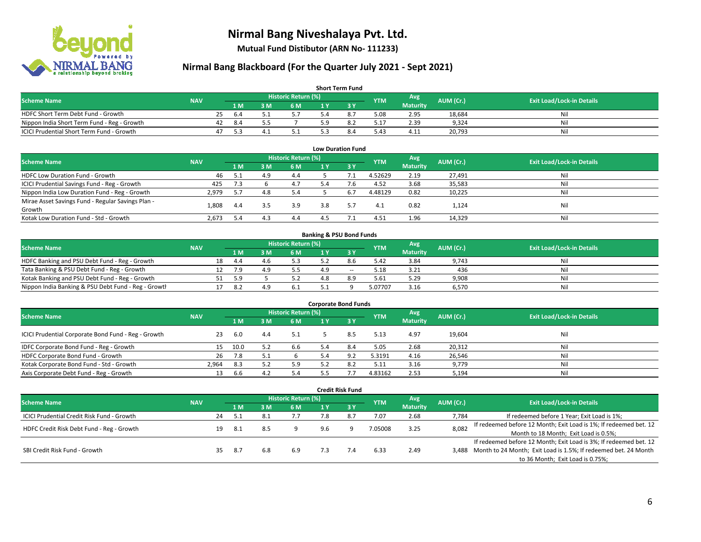

**Mutual Fund Distibutor (ARN No- 111233)**

| <b>Short Term Fund</b>                           |            |    |      |     |                     |     |           |            |                 |           |                                  |  |  |  |
|--------------------------------------------------|------------|----|------|-----|---------------------|-----|-----------|------------|-----------------|-----------|----------------------------------|--|--|--|
| <b>Scheme Name</b>                               | <b>NAV</b> |    |      |     | Historic Return (%) |     |           | <b>YTM</b> | Avg \           | AUM (Cr.) | <b>Exit Load/Lock-in Details</b> |  |  |  |
|                                                  |            |    | 1 M  | 3 M | 6 M                 | 1 Y |           |            | <b>Maturity</b> |           |                                  |  |  |  |
| HDFC Short Term Debt Fund - Growth               |            | 25 | -6.4 |     |                     |     | $\circ$ . | 5.08       | 2.95            | 18.684    | Nil                              |  |  |  |
| Nippon India Short Term Fund - Reg - Growth      |            | 42 | -8.4 |     |                     |     |           | 17.ذ       | 2.39            | 9.324     | Nil                              |  |  |  |
| <b>ICICI Prudential Short Term Fund - Growth</b> |            | 47 |      |     |                     |     | 8.4       | 5.43       | 4.11            | 20,793    | Nil                              |  |  |  |

| <b>Low Duration Fund</b>                          |            |     |     |                            |     |      |            |                 |           |                                  |  |  |  |
|---------------------------------------------------|------------|-----|-----|----------------------------|-----|------|------------|-----------------|-----------|----------------------------------|--|--|--|
| <b>Scheme Name</b>                                | <b>NAV</b> |     |     | <b>Historic Return (%)</b> |     |      | <b>YTM</b> | Avg             | AUM (Cr.) | <b>Exit Load/Lock-in Details</b> |  |  |  |
|                                                   |            | 1 M | 3 M | 6 M                        |     | -3 Y |            | <b>Maturity</b> |           |                                  |  |  |  |
| HDFC Low Duration Fund - Growth                   | 46         | 5.1 | 4.9 | 4.4                        |     |      | 4.52629    | 2.19            | 27,491    | Nil                              |  |  |  |
| ICICI Prudential Savings Fund - Reg - Growth      | 425        | 7.3 |     | 4.7                        | 5.4 | 7.6  | 4.52       | 3.68            | 35,583    | Nil                              |  |  |  |
| Nippon India Low Duration Fund - Reg - Growth     | 2,979      | 5.7 | 4.8 | 5.4                        |     | 6.7  | 4.48129    | 0.82            | 10,225    | Nil                              |  |  |  |
| Mirae Asset Savings Fund - Regular Savings Plan - |            |     | 3.5 | 3.9                        | 3.8 |      |            | 0.82            |           | Nil                              |  |  |  |
| Growth                                            | 1.808      | 4.4 |     |                            |     |      | 4.1        |                 | 1,124     |                                  |  |  |  |
| Kotak Low Duration Fund - Std - Growth            | 2,673      | 5.4 |     | 4.4                        |     |      | 4.51       | 1.96            | 14,329    | Nil                              |  |  |  |

| <b>Banking &amp; PSU Bond Funds</b>                 |            |    |      |     |                     |    |       |            |                 |           |                                  |  |  |  |
|-----------------------------------------------------|------------|----|------|-----|---------------------|----|-------|------------|-----------------|-----------|----------------------------------|--|--|--|
| <b>Scheme Name</b>                                  | <b>NAV</b> |    |      |     | Historic Return (%) |    |       | <b>YTM</b> | Avg             | AUM (Cr.) | <b>Exit Load/Lock-in Details</b> |  |  |  |
|                                                     |            |    | 4 M. | ያ M | 6 M                 |    |       |            | <b>Maturity</b> |           |                                  |  |  |  |
| HDFC Banking and PSU Debt Fund - Reg - Growth       |            | 18 | 4.4  |     |                     |    | 8.6   | 5.42       | 3.84            | 9,743     | Nil                              |  |  |  |
| Tata Banking & PSU Debt Fund - Reg - Growth         |            |    | 7.9  | 4.9 | 5.5                 | 49 | $- -$ | 5.18       | 3.21            | 436       | Nil                              |  |  |  |
| Kotak Banking and PSU Debt Fund - Reg - Growth      |            |    | 5.9  |     |                     |    | R Q   | 5.61       | 5.29            | 9.908     | Nil                              |  |  |  |
| Nippon India Banking & PSU Debt Fund - Reg - Growth |            |    | 8.2  | 4.9 | 6.1                 |    |       | 5.07707    | 3.16            | 6,570     | Nil                              |  |  |  |

| <b>Corporate Bond Funds</b>                         |            |      |     |                     |     |      |            |                        |           |                                  |  |
|-----------------------------------------------------|------------|------|-----|---------------------|-----|------|------------|------------------------|-----------|----------------------------------|--|
| <b>Scheme Name</b>                                  | <b>NAV</b> |      |     | Historic Return (%) |     |      | <b>YTM</b> | Avg<br><b>Maturity</b> | AUM (Cr.) | <b>Exit Load/Lock-in Details</b> |  |
|                                                     |            | 1 M  | з м | 6 M                 |     | -3 Y |            |                        |           |                                  |  |
| ICICI Prudential Corporate Bond Fund - Reg - Growth | 23         | -6.0 | 4.4 | 5.1                 |     | 8.5  | 5.13       | 4.97                   | 19,604    | Nil                              |  |
| IDFC Corporate Bond Fund - Reg - Growth             |            | 10.0 |     | 6.6                 | 5.4 | 8.4  | 5.05       | 2.68                   | 20,312    | Nil                              |  |
| HDFC Corporate Bond Fund - Growth                   | 26         | 7.8  |     |                     | 5.4 |      | 5.3191     | 4.16                   | 26,546    | Nil                              |  |
| Kotak Corporate Bond Fund - Std - Growth            | 2.964      | 8.3  |     | 5.9                 |     |      | 5.11       | 3.16                   | 9,779     | Nil                              |  |
| Axis Corporate Debt Fund - Reg - Growth             | 13         | 6.6  | 4.2 | 5.4                 |     |      | 4.83162    | 2.53                   | 5,194     | Nil                              |  |

|                                                   |            |                            |      |     |     |     | <b>Credit Risk Fund</b> |            |                 |           |                                                                       |
|---------------------------------------------------|------------|----------------------------|------|-----|-----|-----|-------------------------|------------|-----------------|-----------|-----------------------------------------------------------------------|
| <b>Scheme Name</b>                                | <b>NAV</b> | <b>Historic Return (%)</b> |      |     |     |     |                         |            | Avg             | AUM (Cr.) | <b>Exit Load/Lock-in Details</b>                                      |
|                                                   |            |                            | 1 M  | : M | 6 M | 1 Y | 3Y                      | <b>YTM</b> | <b>Maturity</b> |           |                                                                       |
| <b>ICICI Prudential Credit Risk Fund - Growth</b> |            | 24                         | 5.1  | 8.1 | 7.7 | 7.8 | 8                       | 7.07       | 2.68            | 7,784     | If redeemed before 1 Year; Exit Load is 1%;                           |
| HDFC Credit Risk Debt Fund - Reg - Growth         |            | 19                         | -8.1 | 8.5 |     | 9.6 | Q                       | 7.05008    | 3.25            | 8,082     | If redeemed before 12 Month; Exit Load is 1%; If redeemed bet. 12     |
|                                                   |            |                            |      |     |     |     |                         |            |                 |           | Month to 18 Month; Exit Load is 0.5%;                                 |
|                                                   |            |                            |      |     |     |     |                         |            |                 |           | If redeemed before 12 Month; Exit Load is 3%; If redeemed bet. 12     |
| SBI Credit Risk Fund - Growth                     |            | 35                         | -8.7 | 6.8 | 6.9 |     | 7.4                     | 6.33       | 2.49            |           | 3,488 Month to 24 Month; Exit Load is 1.5%; If redeemed bet. 24 Month |
|                                                   |            |                            |      |     |     |     |                         |            |                 |           | to 36 Month; Exit Load is 0.75%;                                      |